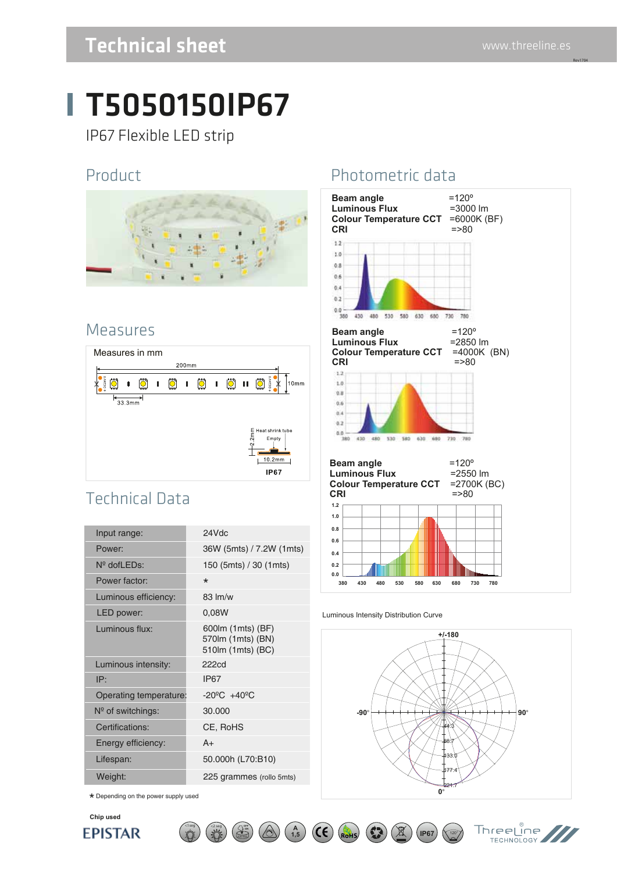Rev1704

### Technical sheet www.threeline.es

# T5050150IP67

IP67 Flexible LED strip

#### Product



#### Measures



### Technical Data

| Input range:             | 24Vdc                                                      |
|--------------------------|------------------------------------------------------------|
| Power:                   | 36W (5mts) / 7.2W (1mts)                                   |
| $N^{\circ}$ dofl $EDs$ : | 150 (5mts) / 30 (1mts)                                     |
| Power factor:            | $\star$                                                    |
| Luminous efficiency:     | 83 lm/w                                                    |
| LED power:               | 0,08W                                                      |
| Luminous flux:           | 600lm (1mts) (BF)<br>570lm (1mts) (BN)<br>510m (1mts) (BC) |
| Luminous intensity:      | 222cd                                                      |
| IP:                      | <b>IP67</b>                                                |
| Operating temperature:   | $-20^{\circ}$ C $+40^{\circ}$ C                            |
| $N°$ of switchings:      | 30.000                                                     |
| Certifications:          | CE, RoHS                                                   |
| Energy efficiency:       | $A+$                                                       |
| Lifespan:                | 50.000h (L70:B10)                                          |
| Weight:                  | 225 grammes (rollo 5mts)                                   |
|                          |                                                            |

 $\lt$ 1seg  $\lt$   $\lt$ 2 seg  $\lt$   $\lt$   $\lt$   $\lt$ 

 $\star$  Depending on the power supply used



#### Photometric data



#### Luminous Intensity Distribution Curve